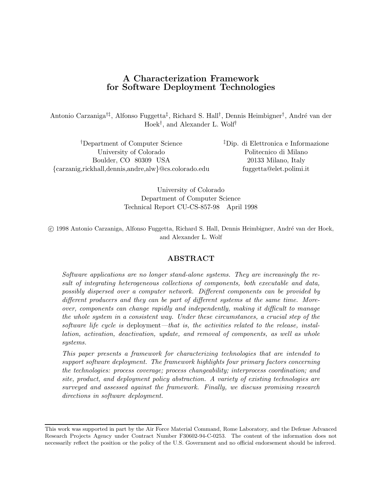# **A Characterization Framework for Software Deployment Technologies**

Antonio Carzaniga<sup>†‡</sup>, Alfonso Fuggetta<sup>‡</sup>, Richard S. Hall<sup>†</sup>, Dennis Heimbigner<sup>†</sup>, André van der Hoek†, and Alexander L. Wolf†

†Department of Computer Science ‡Dip. di Elettronica e Informazione University of Colorado Politecnico di Milano Boulder, CO 80309 USA 20133 Milano, Italy {carzanig,rickhall,dennis,andre,alw}@cs.colorado.edu fuggetta@elet.polimi.it

University of Colorado Department of Computer Science Technical Report CU-CS-857-98 April 1998

c 1998 Antonio Carzaniga, Alfonso Fuggetta, Richard S. Hall, Dennis Heimbigner, Andr´e van der Hoek, and Alexander L. Wolf

## **ABSTRACT**

Software applications are no longer stand-alone systems. They are increasingly the result of integrating heterogeneous collections of components, both executable and data, possibly dispersed over a computer network. Different components can be provided by different producers and they can be part of different systems at the same time. Moreover, components can change rapidly and independently, making it difficult to manage the whole system in a consistent way. Under these circumstances, a crucial step of the software life cycle is deployment—that is, the activities related to the release, installation, activation, deactivation, update, and removal of components, as well as whole systems.

This paper presents a framework for characterizing technologies that are intended to support software deployment. The framework highlights four primary factors concerning the technologies: process coverage; process changeability; interprocess coordination; and site, product, and deployment policy abstraction. A variety of existing technologies are surveyed and assessed against the framework. Finally, we discuss promising research directions in software deployment.

This work was supported in part by the Air Force Material Command, Rome Laboratory, and the Defense Advanced Research Projects Agency under Contract Number F30602-94-C-0253. The content of the information does not necessarily reflect the position or the policy of the U.S. Government and no official endorsement should be inferred.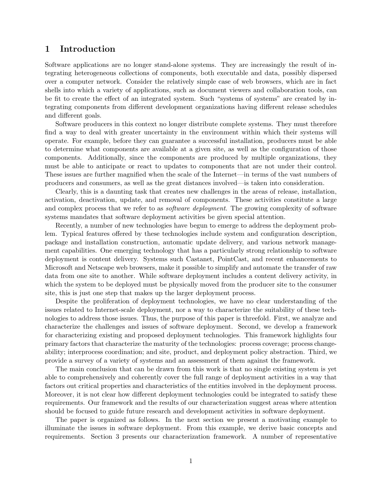# **1 Introduction**

Software applications are no longer stand-alone systems. They are increasingly the result of integrating heterogeneous collections of components, both executable and data, possibly dispersed over a computer network. Consider the relatively simple case of web browsers, which are in fact shells into which a variety of applications, such as document viewers and collaboration tools, can be fit to create the effect of an integrated system. Such "systems of systems" are created by integrating components from different development organizations having different release schedules and different goals.

Software producers in this context no longer distribute complete systems. They must therefore find a way to deal with greater uncertainty in the environment within which their systems will operate. For example, before they can guarantee a successful installation, producers must be able to determine what components are available at a given site, as well as the configuration of those components. Additionally, since the components are produced by multiple organizations, they must be able to anticipate or react to updates to components that are not under their control. These issues are further magnified when the scale of the Internet—in terms of the vast numbers of producers and consumers, as well as the great distances involved—is taken into consideration.

Clearly, this is a daunting task that creates new challenges in the areas of release, installation, activation, deactivation, update, and removal of components. These activities constitute a large and complex process that we refer to as *software deployment*. The growing complexity of software systems mandates that software deployment activities be given special attention.

Recently, a number of new technologies have begun to emerge to address the deployment problem. Typical features offered by these technologies include system and configuration description, package and installation construction, automatic update delivery, and various network management capabilities. One emerging technology that has a particularly strong relationship to software deployment is content delivery. Systems such Castanet, PointCast, and recent enhancements to Microsoft and Netscape web browsers, make it possible to simplify and automate the transfer of raw data from one site to another. While software deployment includes a content delivery activity, in which the system to be deployed must be physically moved from the producer site to the consumer site, this is just one step that makes up the larger deployment process.

Despite the proliferation of deployment technologies, we have no clear understanding of the issues related to Internet-scale deployment, nor a way to characterize the suitability of these technologies to address those issues. Thus, the purpose of this paper is threefold. First, we analyze and characterize the challenges and issues of software deployment. Second, we develop a framework for characterizing existing and proposed deployment technologies. This framework highlights four primary factors that characterize the maturity of the technologies: process coverage; process changeability; interprocess coordination; and site, product, and deployment policy abstraction. Third, we provide a survey of a variety of systems and an assessment of them against the framework.

The main conclusion that can be drawn from this work is that no single existing system is yet able to comprehensively and coherently cover the full range of deployment activities in a way that factors out critical properties and characteristics of the entities involved in the deployment process. Moreover, it is not clear how different deployment technologies could be integrated to satisfy these requirements. Our framework and the results of our characterization suggest areas where attention should be focused to guide future research and development activities in software deployment.

The paper is organized as follows. In the next section we present a motivating example to illuminate the issues in software deployment. From this example, we derive basic concepts and requirements. Section 3 presents our characterization framework. A number of representative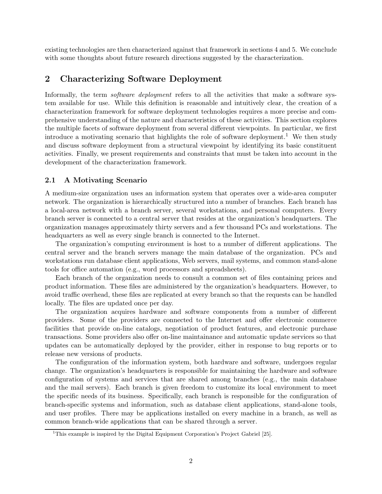existing technologies are then characterized against that framework in sections 4 and 5. We conclude with some thoughts about future research directions suggested by the characterization.

# **2 Characterizing Software Deployment**

Informally, the term *software deployment* refers to all the activities that make a software system available for use. While this definition is reasonable and intuitively clear, the creation of a characterization framework for software deployment technologies requires a more precise and comprehensive understanding of the nature and characteristics of these activities. This section explores the multiple facets of software deployment from several different viewpoints. In particular, we first introduce a motivating scenario that highlights the role of software deployment.<sup>1</sup> We then study and discuss software deployment from a structural viewpoint by identifying its basic constituent activities. Finally, we present requirements and constraints that must be taken into account in the development of the characterization framework.

### **2.1 A Motivating Scenario**

A medium-size organization uses an information system that operates over a wide-area computer network. The organization is hierarchically structured into a number of branches. Each branch has a local-area network with a branch server, several workstations, and personal computers. Every branch server is connected to a central server that resides at the organization's headquarters. The organization manages approximately thirty servers and a few thousand PCs and workstations. The headquarters as well as every single branch is connected to the Internet.

The organization's computing environment is host to a number of different applications. The central server and the branch servers manage the main database of the organization. PCs and workstations run database client applications, Web servers, mail systems, and common stand-alone tools for office automation (e.g., word processors and spreadsheets).

Each branch of the organization needs to consult a common set of files containing prices and product information. These files are administered by the organization's headquarters. However, to avoid traffic overhead, these files are replicated at every branch so that the requests can be handled locally. The files are updated once per day.

The organization acquires hardware and software components from a number of different providers. Some of the providers are connected to the Internet and offer electronic commerce facilities that provide on-line catalogs, negotiation of product features, and electronic purchase transactions. Some providers also offer on-line maintainance and automatic update services so that updates can be automatically deployed by the provider, either in response to bug reports or to release new versions of products.

The configuration of the information system, both hardware and software, undergoes regular change. The organization's headquarters is responsible for maintaining the hardware and software configuration of systems and services that are shared among branches (e.g., the main database and the mail servers). Each branch is given freedom to customize its local environment to meet the specific needs of its business. Specifically, each branch is responsible for the configuration of branch-specific systems and information, such as database client applications, stand-alone tools, and user profiles. There may be applications installed on every machine in a branch, as well as common branch-wide applications that can be shared through a server.

<sup>&</sup>lt;sup>1</sup>This example is inspired by the Digital Equipment Corporation's Project Gabriel [25].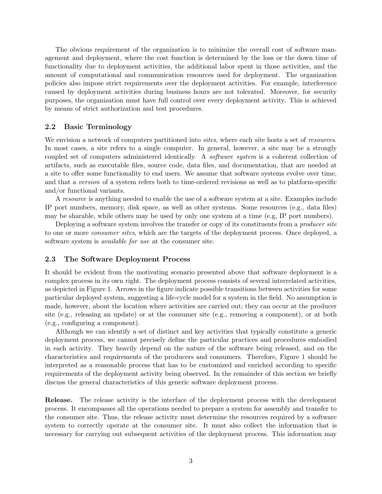The obvious requirement of the organization is to minimize the overall cost of software management and deployment, where the cost function is determined by the loss or the down time of functionality due to deployment activities, the additional labor spent in those activities, and the amount of computational and communication resources used for deployment. The organization policies also impose strict requirements over the deployment activities. For example, interference caused by deployment activities during business hours are not tolerated. Moreover, for security purposes, the organization must have full control over every deployment activity. This is achieved by means of strict authorization and test procedures.

#### **2.2 Basic Terminology**

We envision a network of computers partitioned into *sites*, where each site hosts a set of *resources*. In most cases, a site refers to a single computer. In general, however, a site may be a strongly coupled set of computers administered identically. A software system is a coherent collection of artifacts, such as executable files, source code, data files, and documentation, that are needed at a site to offer some functionality to end users. We assume that software systems evolve over time, and that a version of a system refers both to time-ordered revisions as well as to platform-specific and/or functional variants.

A resource is anything needed to enable the use of a software system at a site. Examples include IP port numbers, memory, disk space, as well as other systems. Some resources (e.g., data files) may be sharable, while others may be used by only one system at a time (e.g, IP port numbers).

Deploying a software system involves the transfer or copy of its constituents from a *producer site* to one or more consumer sites, which are the targets of the deployment process. Once deployed, a software system is available for use at the consumer site.

#### **2.3 The Software Deployment Process**

It should be evident from the motivating scenario presented above that software deployment is a complex process in its own right. The deployment process consists of several interrelated activities, as depicted in Figure 1. Arrows in the figure indicate possible transitions between activities for some particular deployed system, suggesting a life-cycle model for a system in the field. No assumption is made, however, about the location where activities are carried out; they can occur at the producer site (e.g., releasing an update) or at the consumer site (e.g., removing a component), or at both (e.g., configuring a component).

Although we can identify a set of distinct and key activities that typically constitute a generic deployment process, we cannot precisely define the particular practices and procedures embodied in each activity. They heavily depend on the nature of the software being released, and on the characteristics and requirements of the producers and consumers. Therefore, Figure 1 should be interpreted as a reasonable process that has to be customized and enriched according to specific requirements of the deployment activity being observed. In the remainder of this section we briefly discuss the general characteristics of this generic software deployment process.

**Release.** The release activity is the interface of the deployment process with the development process. It encompasses all the operations needed to prepare a system for assembly and transfer to the consumer site. Thus, the release activity must determine the resources required by a software system to correctly operate at the consumer site. It must also collect the information that is necessary for carrying out subsequent activities of the deployment process. This information may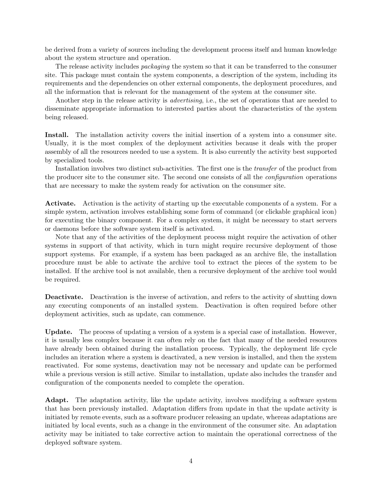be derived from a variety of sources including the development process itself and human knowledge about the system structure and operation.

The release activity includes *packaging* the system so that it can be transferred to the consumer site. This package must contain the system components, a description of the system, including its requirements and the dependencies on other external components, the deployment procedures, and all the information that is relevant for the management of the system at the consumer site.

Another step in the release activity is *advertising*, i.e., the set of operations that are needed to disseminate appropriate information to interested parties about the characteristics of the system being released.

**Install.** The installation activity covers the initial insertion of a system into a consumer site. Usually, it is the most complex of the deployment activities because it deals with the proper assembly of all the resources needed to use a system. It is also currently the activity best supported by specialized tools.

Installation involves two distinct sub-activities. The first one is the transfer of the product from the producer site to the consumer site. The second one consists of all the configuration operations that are necessary to make the system ready for activation on the consumer site.

**Activate.** Activation is the activity of starting up the executable components of a system. For a simple system, activation involves establishing some form of command (or clickable graphical icon) for executing the binary component. For a complex system, it might be necessary to start servers or daemons before the software system itself is activated.

Note that any of the activities of the deployment process might require the activation of other systems in support of that activity, which in turn might require recursive deployment of those support systems. For example, if a system has been packaged as an archive file, the installation procedure must be able to activate the archive tool to extract the pieces of the system to be installed. If the archive tool is not available, then a recursive deployment of the archive tool would be required.

**Deactivate.** Deactivation is the inverse of activation, and refers to the activity of shutting down any executing components of an installed system. Deactivation is often required before other deployment activities, such as update, can commence.

**Update.** The process of updating a version of a system is a special case of installation. However, it is usually less complex because it can often rely on the fact that many of the needed resources have already been obtained during the installation process. Typically, the deployment life cycle includes an iteration where a system is deactivated, a new version is installed, and then the system reactivated. For some systems, deactivation may not be necessary and update can be performed while a previous version is still active. Similar to installation, update also includes the transfer and configuration of the components needed to complete the operation.

Adapt. The adaptation activity, like the update activity, involves modifying a software system that has been previously installed. Adaptation differs from update in that the update activity is initiated by remote events, such as a software producer releasing an update, whereas adaptations are initiated by local events, such as a change in the environment of the consumer site. An adaptation activity may be initiated to take corrective action to maintain the operational correctness of the deployed software system.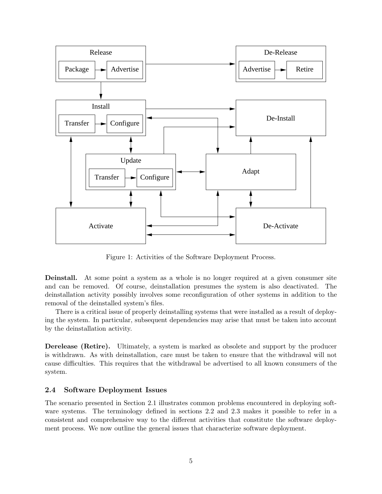

Figure 1: Activities of the Software Deployment Process.

**Deinstall.** At some point a system as a whole is no longer required at a given consumer site and can be removed. Of course, deinstallation presumes the system is also deactivated. The deinstallation activity possibly involves some reconfiguration of other systems in addition to the removal of the deinstalled system's files.

There is a critical issue of properly deinstalling systems that were installed as a result of deploying the system. In particular, subsequent dependencies may arise that must be taken into account by the deinstallation activity.

**Derelease (Retire).** Ultimately, a system is marked as obsolete and support by the producer is withdrawn. As with deinstallation, care must be taken to ensure that the withdrawal will not cause difficulties. This requires that the withdrawal be advertised to all known consumers of the system.

#### **2.4 Software Deployment Issues**

The scenario presented in Section 2.1 illustrates common problems encountered in deploying software systems. The terminology defined in sections 2.2 and 2.3 makes it possible to refer in a consistent and comprehensive way to the different activities that constitute the software deployment process. We now outline the general issues that characterize software deployment.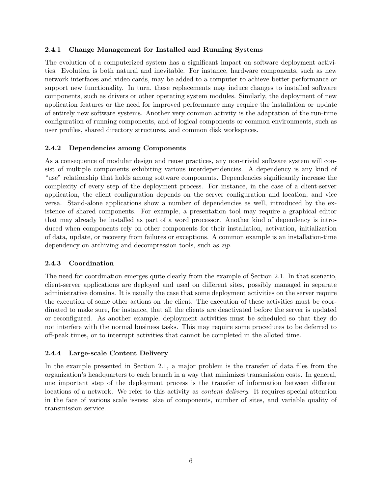### **2.4.1 Change Management for Installed and Running Systems**

The evolution of a computerized system has a significant impact on software deployment activities. Evolution is both natural and inevitable. For instance, hardware components, such as new network interfaces and video cards, may be added to a computer to achieve better performance or support new functionality. In turn, these replacements may induce changes to installed software components, such as drivers or other operating system modules. Similarly, the deployment of new application features or the need for improved performance may require the installation or update of entirely new software systems. Another very common activity is the adaptation of the run-time configuration of running components, and of logical components or common environments, such as user profiles, shared directory structures, and common disk workspaces.

### **2.4.2 Dependencies among Components**

As a consequence of modular design and reuse practices, any non-trivial software system will consist of multiple components exhibiting various interdependencies. A dependency is any kind of "use" relationship that holds among software components. Dependencies significantly increase the complexity of every step of the deployment process. For instance, in the case of a client-server application, the client configuration depends on the server configuration and location, and vice versa. Stand-alone applications show a number of dependencies as well, introduced by the existence of shared components. For example, a presentation tool may require a graphical editor that may already be installed as part of a word processor. Another kind of dependency is introduced when components rely on other components for their installation, activation, initialization of data, update, or recovery from failures or exceptions. A common example is an installation-time dependency on archiving and decompression tools, such as *zip*.

### **2.4.3 Coordination**

The need for coordination emerges quite clearly from the example of Section 2.1. In that scenario, client-server applications are deployed and used on different sites, possibly managed in separate administrative domains. It is usually the case that some deployment activities on the server require the execution of some other actions on the client. The execution of these activities must be coordinated to make sure, for instance, that all the clients are deactivated before the server is updated or reconfigured. As another example, deployment activities must be scheduled so that they do not interfere with the normal business tasks. This may require some procedures to be deferred to off-peak times, or to interrupt activities that cannot be completed in the alloted time.

## **2.4.4 Large-scale Content Delivery**

In the example presented in Section 2.1, a major problem is the transfer of data files from the organization's headquarters to each branch in a way that minimizes transmission costs. In general, one important step of the deployment process is the transfer of information between different locations of a network. We refer to this activity as *content delivery*. It requires special attention in the face of various scale issues: size of components, number of sites, and variable quality of transmission service.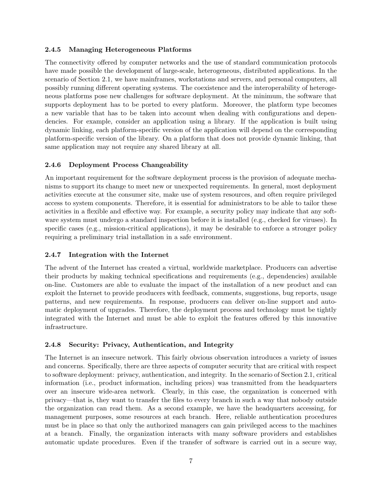## **2.4.5 Managing Heterogeneous Platforms**

The connectivity offered by computer networks and the use of standard communication protocols have made possible the development of large-scale, heterogeneous, distributed applications. In the scenario of Section 2.1, we have mainframes, workstations and servers, and personal computers, all possibly running different operating systems. The coexistence and the interoperability of heterogeneous platforms pose new challenges for software deployment. At the minimum, the software that supports deployment has to be ported to every platform. Moreover, the platform type becomes a new variable that has to be taken into account when dealing with configurations and dependencies. For example, consider an application using a library. If the application is built using dynamic linking, each platform-specific version of the application will depend on the corresponding platform-specific version of the library. On a platform that does not provide dynamic linking, that same application may not require any shared library at all.

## **2.4.6 Deployment Process Changeability**

An important requirement for the software deployment process is the provision of adequate mechanisms to support its change to meet new or unexpected requirements. In general, most deployment activities execute at the consumer site, make use of system resources, and often require privileged access to system components. Therefore, it is essential for administrators to be able to tailor these activities in a flexible and effective way. For example, a security policy may indicate that any software system must undergo a standard inspection before it is installed (e.g., checked for viruses). In specific cases (e.g., mission-critical applications), it may be desirable to enforce a stronger policy requiring a preliminary trial installation in a safe environment.

## **2.4.7 Integration with the Internet**

The advent of the Internet has created a virtual, worldwide marketplace. Producers can advertise their products by making technical specifications and requirements (e.g., dependencies) available on-line. Customers are able to evaluate the impact of the installation of a new product and can exploit the Internet to provide producers with feedback, comments, suggestions, bug reports, usage patterns, and new requirements. In response, producers can deliver on-line support and automatic deployment of upgrades. Therefore, the deployment process and technology must be tightly integrated with the Internet and must be able to exploit the features offered by this innovative infrastructure.

# **2.4.8 Security: Privacy, Authentication, and Integrity**

The Internet is an insecure network. This fairly obvious observation introduces a variety of issues and concerns. Specifically, there are three aspects of computer security that are critical with respect to software deployment: privacy, authentication, and integrity. In the scenario of Section 2.1, critical information (i.e., product information, including prices) was transmitted from the headquarters over an insecure wide-area network. Clearly, in this case, the organization is concerned with privacy—that is, they want to transfer the files to every branch in such a way that nobody outside the organization can read them. As a second example, we have the headquarters accessing, for management purposes, some resources at each branch. Here, reliable authentication procedures must be in place so that only the authorized managers can gain privileged access to the machines at a branch. Finally, the organization interacts with many software providers and establishes automatic update procedures. Even if the transfer of software is carried out in a secure way,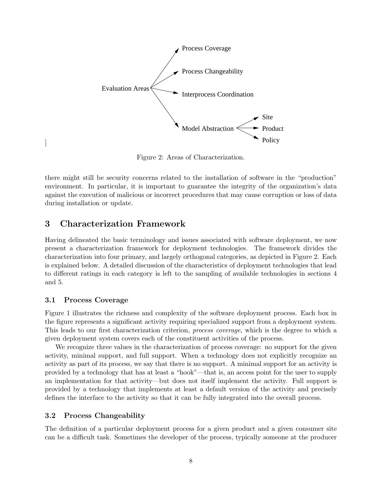

Figure 2: Areas of Characterization.

there might still be security concerns related to the installation of software in the "production" environment. In particular, it is important to guarantee the integrity of the organization's data against the execution of malicious or incorrect procedures that may cause corruption or loss of data during installation or update.

# **3 Characterization Framework**

Having delineated the basic terminology and issues associated with software deployment, we now present a characterization framework for deployment technologies. The framework divides the characterization into four primary, and largely orthogonal categories, as depicted in Figure 2. Each is explained below. A detailed discussion of the characteristics of deployment technologies that lead to different ratings in each category is left to the sampling of available technologies in sections 4 and 5.

### **3.1 Process Coverage**

]

Figure 1 illustrates the richness and complexity of the software deployment process. Each box in the figure represents a significant activity requiring specialized support from a deployment system. This leads to our first characterization criterion, *process coverage*, which is the degree to which a given deployment system covers each of the constituent activities of the process.

We recognize three values in the characterization of process coverage: no support for the given activity, minimal support, and full support. When a technology does not explicitly recognize an activity as part of its process, we say that there is no support. A minimal support for an activity is provided by a technology that has at least a "hook"—that is, an access point for the user to supply an implementation for that activity—but does not itself implement the activity. Full support is provided by a technology that implements at least a default version of the activity and precisely defines the interface to the activity so that it can be fully integrated into the overall process.

### **3.2 Process Changeability**

The definition of a particular deployment process for a given product and a given consumer site can be a difficult task. Sometimes the developer of the process, typically someone at the producer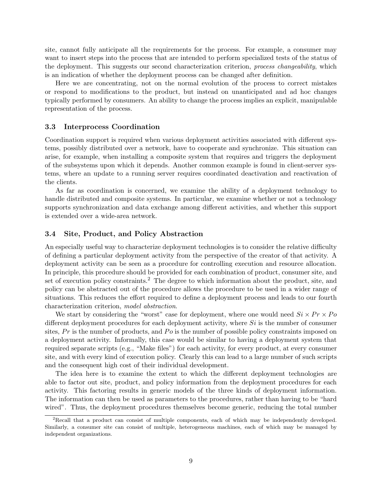site, cannot fully anticipate all the requirements for the process. For example, a consumer may want to insert steps into the process that are intended to perform specialized tests of the status of the deployment. This suggests our second characterization criterion, process changeability, which is an indication of whether the deployment process can be changed after definition.

Here we are concentrating, not on the normal evolution of the process to correct mistakes or respond to modifications to the product, but instead on unanticipated and ad hoc changes typically performed by consumers. An ability to change the process implies an explicit, manipulable representation of the process.

#### **3.3 Interprocess Coordination**

Coordination support is required when various deployment activities associated with different systems, possibly distributed over a network, have to cooperate and synchronize. This situation can arise, for example, when installing a composite system that requires and triggers the deployment of the subsystems upon which it depends. Another common example is found in client-server systems, where an update to a running server requires coordinated deactivation and reactivation of the clients.

As far as coordination is concerned, we examine the ability of a deployment technology to handle distributed and composite systems. In particular, we examine whether or not a technology supports synchronization and data exchange among different activities, and whether this support is extended over a wide-area network.

#### **3.4 Site, Product, and Policy Abstraction**

An especially useful way to characterize deployment technologies is to consider the relative difficulty of defining a particular deployment activity from the perspective of the creator of that activity. A deployment activity can be seen as a procedure for controlling execution and resource allocation. In principle, this procedure should be provided for each combination of product, consumer site, and set of execution policy constraints.<sup>2</sup> The degree to which information about the product, site, and policy can be abstracted out of the procedure allows the procedure to be used in a wider range of situations. This reduces the effort required to define a deployment process and leads to our fourth characterization criterion, model abstraction.

We start by considering the "worst" case for deployment, where one would need  $Si \times Pr \times Po$ different deployment procedures for each deployment activity, where  $Si$  is the number of consumer sites,  $Pr$  is the number of products, and  $Po$  is the number of possible policy constraints imposed on a deployment activity. Informally, this case would be similar to having a deployment system that required separate scripts (e.g., "Make files") for each activity, for every product, at every consumer site, and with every kind of execution policy. Clearly this can lead to a large number of such scripts and the consequent high cost of their individual development.

The idea here is to examine the extent to which the different deployment technologies are able to factor out site, product, and policy information from the deployment procedures for each activity. This factoring results in generic models of the three kinds of deployment information. The information can then be used as parameters to the procedures, rather than having to be "hard wired". Thus, the deployment procedures themselves become generic, reducing the total number

<sup>&</sup>lt;sup>2</sup>Recall that a product can consist of multiple components, each of which may be independently developed. Similarly, a consumer site can consist of multiple, heterogeneous machines, each of which may be managed by independent organizations.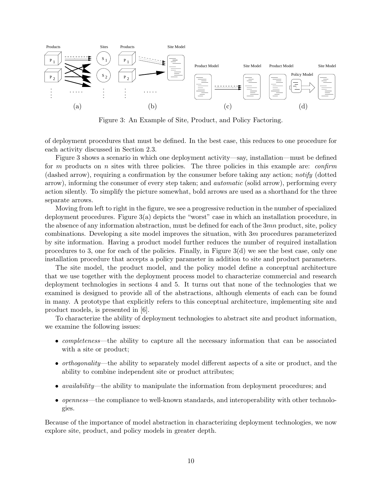

Figure 3: An Example of Site, Product, and Policy Factoring.

of deployment procedures that must be defined. In the best case, this reduces to one procedure for each activity discussed in Section 2.3.

Figure 3 shows a scenario in which one deployment activity—say, installation—must be defined for m products on n sites with three policies. The three policies in this example are: *confirm* (dashed arrow), requiring a confirmation by the consumer before taking any action; notify (dotted arrow), informing the consumer of every step taken; and automatic (solid arrow), performing every action silently. To simplify the picture somewhat, bold arrows are used as a shorthand for the three separate arrows.

Moving from left to right in the figure, we see a progressive reduction in the number of specialized deployment procedures. Figure 3(a) depicts the "worst" case in which an installation procedure, in the absence of any information abstraction, must be defined for each of the  $3mn$  product, site, policy combinations. Developing a site model improves the situation, with  $3m$  procedures parameterized by site information. Having a product model further reduces the number of required installation procedures to 3, one for each of the policies. Finally, in Figure 3(d) we see the best case, only one installation procedure that accepts a policy parameter in addition to site and product parameters.

The site model, the product model, and the policy model define a conceptual architecture that we use together with the deployment process model to characterize commercial and research deployment technologies in sections 4 and 5. It turns out that none of the technologies that we examined is designed to provide all of the abstractions, although elements of each can be found in many. A prototype that explicitly refers to this conceptual architecture, implementing site and product models, is presented in [6].

To characterize the ability of deployment technologies to abstract site and product information, we examine the following issues:

- *completeness*—the ability to capture all the necessary information that can be associated with a site or product;
- orthogonality—the ability to separately model different aspects of a site or product, and the ability to combine independent site or product attributes;
- *availability*—the ability to manipulate the information from deployment procedures; and
- *openness*—the compliance to well-known standards, and interoperability with other technologies.

Because of the importance of model abstraction in characterizing deployment technologies, we now explore site, product, and policy models in greater depth.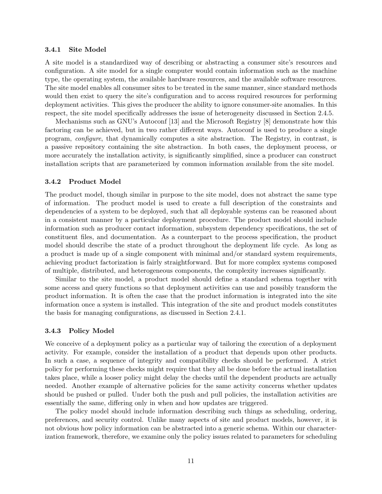#### **3.4.1 Site Model**

A site model is a standardized way of describing or abstracting a consumer site's resources and configuration. A site model for a single computer would contain information such as the machine type, the operating system, the available hardware resources, and the available software resources. The site model enables all consumer sites to be treated in the same manner, since standard methods would then exist to query the site's configuration and to access required resources for performing deployment activities. This gives the producer the ability to ignore consumer-site anomalies. In this respect, the site model specifically addresses the issue of heterogeneity discussed in Section 2.4.5.

Mechanisms such as GNU's Autoconf [13] and the Microsoft Registry [8] demonstrate how this factoring can be achieved, but in two rather different ways. Autoconf is used to produce a single program, configure, that dynamically computes a site abstraction. The Registry, in contrast, is a passive repository containing the site abstraction. In both cases, the deployment process, or more accurately the installation activity, is significantly simplified, since a producer can construct installation scripts that are parameterized by common information available from the site model.

#### **3.4.2 Product Model**

The product model, though similar in purpose to the site model, does not abstract the same type of information. The product model is used to create a full description of the constraints and dependencies of a system to be deployed, such that all deployable systems can be reasoned about in a consistent manner by a particular deployment procedure. The product model should include information such as producer contact information, subsystem dependency specifications, the set of constituent files, and documentation. As a counterpart to the process specification, the product model should describe the state of a product throughout the deployment life cycle. As long as a product is made up of a single component with minimal and/or standard system requirements, achieving product factorization is fairly straightforward. But for more complex systems composed of multiple, distributed, and heterogeneous components, the complexity increases significantly.

Similar to the site model, a product model should define a standard schema together with some access and query functions so that deployment activities can use and possibly transform the product information. It is often the case that the product information is integrated into the site information once a system is installed. This integration of the site and product models constitutes the basis for managing configurations, as discussed in Section 2.4.1.

#### **3.4.3 Policy Model**

We conceive of a deployment policy as a particular way of tailoring the execution of a deployment activity. For example, consider the installation of a product that depends upon other products. In such a case, a sequence of integrity and compatibility checks should be performed. A strict policy for performing these checks might require that they all be done before the actual installation takes place, while a looser policy might delay the checks until the dependent products are actually needed. Another example of alternative policies for the same activity concerns whether updates should be pushed or pulled. Under both the push and pull policies, the installation activities are essentially the same, differing only in when and how updates are triggered.

The policy model should include information describing such things as scheduling, ordering, preferences, and security control. Unlike many aspects of site and product models, however, it is not obvious how policy information can be abstracted into a generic schema. Within our characterization framework, therefore, we examine only the policy issues related to parameters for scheduling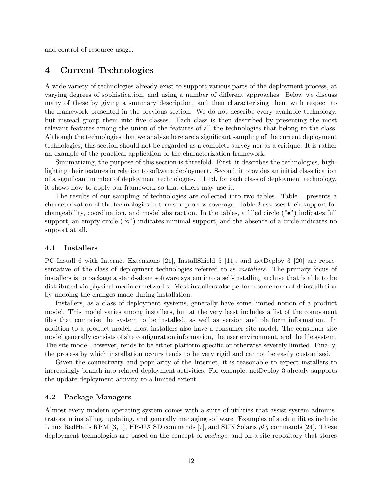and control of resource usage.

# **4 Current Technologies**

A wide variety of technologies already exist to support various parts of the deployment process, at varying degrees of sophistication, and using a number of different approaches. Below we discuss many of these by giving a summary description, and then characterizing them with respect to the framework presented in the previous section. We do not describe every available technology, but instead group them into five classes. Each class is then described by presenting the most relevant features among the union of the features of all the technologies that belong to the class. Although the technologies that we analyze here are a significant sampling of the current deployment technologies, this section should not be regarded as a complete survey nor as a critique. It is rather an example of the practical application of the characterization framework.

Summarizing, the purpose of this section is threefold. First, it describes the technologies, highlighting their features in relation to software deployment. Second, it provides an initial classification of a significant number of deployment technologies. Third, for each class of deployment technology, it shows how to apply our framework so that others may use it.

The results of our sampling of technologies are collected into two tables. Table 1 presents a characterization of the technologies in terms of process coverage. Table 2 assesses their support for changeability, coordination, and model abstraction. In the tables, a filled circle  $(\bullet\bullet)$  indicates full support, an empty circle ("o") indicates minimal support, and the absence of a circle indicates no support at all.

#### **4.1 Installers**

PC-Install 6 with Internet Extensions [21], InstallShield 5 [11], and netDeploy 3 [20] are representative of the class of deployment technologies referred to as installers. The primary focus of installers is to package a stand-alone software system into a self-installing archive that is able to be distributed via physical media or networks. Most installers also perform some form of deinstallation by undoing the changes made during installation.

Installers, as a class of deployment systems, generally have some limited notion of a product model. This model varies among installers, but at the very least includes a list of the component files that comprise the system to be installed, as well as version and platform information. In addition to a product model, most installers also have a consumer site model. The consumer site model generally consists of site configuration information, the user environment, and the file system. The site model, however, tends to be either platform specific or otherwise severely limited. Finally, the process by which installation occurs tends to be very rigid and cannot be easily customized.

Given the connectivity and popularity of the Internet, it is reasonable to expect installers to increasingly branch into related deployment activities. For example, netDeploy 3 already supports the update deployment activity to a limited extent.

#### **4.2 Package Managers**

Almost every modern operating system comes with a suite of utilities that assist system administrators in installing, updating, and generally managing software. Examples of such utilities include Linux RedHat's RPM [3, 1], HP-UX SD commands [7], and SUN Solaris pkg commands [24]. These deployment technologies are based on the concept of package, and on a site repository that stores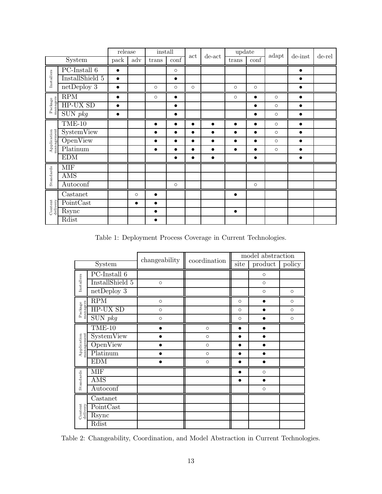|                                                       |                   | release   |           | install   |                          |           | $de$ - $act$ | update    |                          | adapt   | $de-inst$ | de-rel |
|-------------------------------------------------------|-------------------|-----------|-----------|-----------|--------------------------|-----------|--------------|-----------|--------------------------|---------|-----------|--------|
| System                                                |                   | pack      | adv       | trans     | $\overline{\text{conf}}$ | act       |              | trans     | $\overline{\text{conf}}$ |         |           |        |
| Installers                                            | $PC$ -Install $6$ | $\bullet$ |           |           | $\circ$                  |           |              |           |                          |         | $\bullet$ |        |
|                                                       | InstallShield 5   | $\bullet$ |           |           | $\bullet$                |           |              |           |                          |         | $\bullet$ |        |
|                                                       | $net$ Deploy $3$  | $\bullet$ |           | $\circ$   | $\circ$                  | $\circ$   |              | $\circ$   | $\circ$                  |         | $\bullet$ |        |
|                                                       | RPM               | $\bullet$ |           | $\circ$   | $\bullet$                |           |              | $\circ$   | $\bullet$                | $\circ$ | $\bullet$ |        |
| Package<br>managers                                   | HP-UX SD          | $\bullet$ |           |           | $\bullet$                |           |              |           | $\bullet$                | $\circ$ | $\bullet$ |        |
|                                                       | $SUN$ pkg         | $\bullet$ |           |           | $\bullet$                |           |              |           | $\bullet$                | $\circ$ | $\bullet$ |        |
|                                                       | $TME-10$          |           |           | $\bullet$ | $\bullet$                | $\bullet$ | $\bullet$    |           | $\bullet$                | $\circ$ | $\bullet$ |        |
| ${\large \bf Application} \\ {\large \bf management}$ | SystemView        |           |           | $\bullet$ | $\bullet$                | $\bullet$ | $\bullet$    | $\bullet$ | $\bullet$                | $\circ$ | $\bullet$ |        |
|                                                       | OpenView          |           |           | $\bullet$ | $\bullet$                | $\bullet$ | $\bullet$    |           | $\bullet$                | $\circ$ | $\bullet$ |        |
|                                                       | Platinum          |           |           | $\bullet$ | $\bullet$                | $\bullet$ | $\bullet$    | $\bullet$ | $\bullet$                | $\circ$ | $\bullet$ |        |
|                                                       | <b>EDM</b>        |           |           |           | $\bullet$                | $\bullet$ | $\bullet$    |           | $\bullet$                |         | $\bullet$ |        |
|                                                       | <b>MIF</b>        |           |           |           |                          |           |              |           |                          |         |           |        |
| Standards                                             | AMS               |           |           |           |                          |           |              |           |                          |         |           |        |
|                                                       | Autoconf          |           |           |           | $\circ$                  |           |              |           | $\circ$                  |         |           |        |
| Content<br>delivery                                   | Castanet          |           | $\circ$   | $\bullet$ |                          |           |              | $\bullet$ |                          |         |           |        |
|                                                       | PointCast         |           | $\bullet$ | $\bullet$ |                          |           |              |           |                          |         |           |        |
|                                                       | Rsync             |           |           | $\bullet$ |                          |           |              | $\bullet$ |                          |         |           |        |
|                                                       | Rdist             |           |           | $\bullet$ |                          |           |              |           |                          |         |           |        |

Table 1: Deployment Process Coverage in Current Technologies.

|                           |                               | changeability | coordination | model abstraction |         |         |  |
|---------------------------|-------------------------------|---------------|--------------|-------------------|---------|---------|--|
| System                    |                               |               |              | site              | product | policy  |  |
| Installers                | $PC$ -Install $6$             |               |              |                   | $\circ$ |         |  |
|                           | InstallShield 5               | $\circ$       |              |                   | $\circ$ |         |  |
|                           | $net$ Deploy $3$              |               |              |                   | $\circ$ | $\circ$ |  |
|                           | RPM                           | $\circ$       |              | $\circ$           |         | $\circ$ |  |
| managers<br>Package       | HP-UX SD                      | $\circ$       |              | $\circ$           |         | $\circ$ |  |
|                           | $\overline{\mathrm{SUN}}~pkg$ | $\circ$       |              | $\circ$           |         | $\circ$ |  |
|                           | $TME-10$                      |               | $\circ$      | $\bullet$         |         |         |  |
|                           | SystemView                    |               | $\circ$      |                   |         |         |  |
| management<br>Application | OpenView                      |               | $\circ$      |                   |         |         |  |
|                           | Platinum                      |               | $\circ$      | $\bullet$         |         |         |  |
|                           | <b>EDM</b>                    |               | $\circ$      | ●                 |         |         |  |
|                           | <b>MIF</b>                    |               |              | $\bullet$         | $\circ$ |         |  |
| Standards                 | AMS                           |               |              | ●                 |         |         |  |
|                           | Autoconf                      |               |              |                   | $\circ$ |         |  |
|                           | Castanet                      |               |              |                   |         |         |  |
| Content<br>delivery       | PointCast                     |               |              |                   |         |         |  |
|                           | Rsync                         |               |              |                   |         |         |  |
|                           | Rdist                         |               |              |                   |         |         |  |

Table 2: Changeability, Coordination, and Model Abstraction in Current Technologies.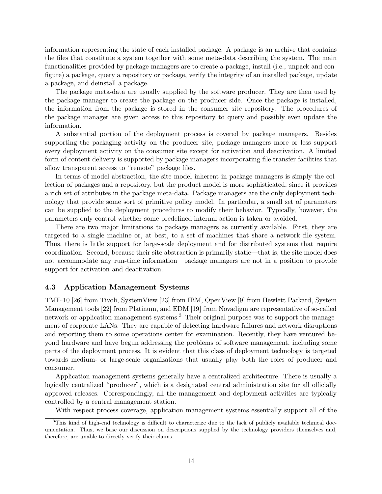information representing the state of each installed package. A package is an archive that contains the files that constitute a system together with some meta-data describing the system. The main functionalities provided by package managers are to create a package, install (i.e., unpack and configure) a package, query a repository or package, verify the integrity of an installed package, update a package, and deinstall a package.

The package meta-data are usually supplied by the software producer. They are then used by the package manager to create the package on the producer side. Once the package is installed, the information from the package is stored in the consumer site repository. The procedures of the package manager are given access to this repository to query and possibly even update the information.

A substantial portion of the deployment process is covered by package managers. Besides supporting the packaging activity on the producer site, package managers more or less support every deployment activity on the consumer site except for activation and deactivation. A limited form of content delivery is supported by package managers incorporating file transfer facilities that allow transparent access to "remote" package files.

In terms of model abstraction, the site model inherent in package managers is simply the collection of packages and a repository, but the product model is more sophisticated, since it provides a rich set of attributes in the package meta-data. Package managers are the only deployment technology that provide some sort of primitive policy model. In particular, a small set of parameters can be supplied to the deployment procedures to modify their behavior. Typically, however, the parameters only control whether some predefined internal action is taken or avoided.

There are two major limitations to package managers as currently available. First, they are targeted to a single machine or, at best, to a set of machines that share a network file system. Thus, there is little support for large-scale deployment and for distributed systems that require coordination. Second, because their site abstraction is primarily static—that is, the site model does not accommodate any run-time information—package managers are not in a position to provide support for activation and deactivation.

### **4.3 Application Management Systems**

TME-10 [26] from Tivoli, SystemView [23] from IBM, OpenView [9] from Hewlett Packard, System Management tools [22] from Platinum, and EDM [19] from Novadigm are representative of so-called network or application management systems.<sup>3</sup> Their original purpose was to support the management of corporate LANs. They are capable of detecting hardware failures and network disruptions and reporting them to some operations center for examination. Recently, they have ventured beyond hardware and have begun addressing the problems of software management, including some parts of the deployment process. It is evident that this class of deployment technology is targeted towards medium- or large-scale organizations that usually play both the roles of producer and consumer.

Application management systems generally have a centralized architecture. There is usually a logically centralized "producer", which is a designated central administration site for all officially approved releases. Correspondingly, all the management and deployment activities are typically controlled by a central management station.

With respect process coverage, application management systems essentially support all of the

<sup>&</sup>lt;sup>3</sup>This kind of high-end technology is difficult to characterize due to the lack of publicly available technical documentation. Thus, we base our discussion on descriptions supplied by the technology providers themselves and, therefore, are unable to directly verify their claims.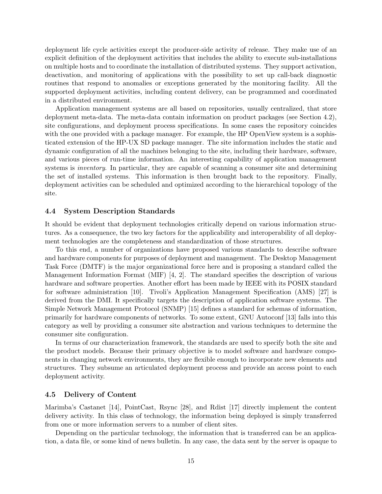deployment life cycle activities except the producer-side activity of release. They make use of an explicit definition of the deployment activities that includes the ability to execute sub-installations on multiple hosts and to coordinate the installation of distributed systems. They support activation, deactivation, and monitoring of applications with the possibility to set up call-back diagnostic routines that respond to anomalies or exceptions generated by the monitoring facility. All the supported deployment activities, including content delivery, can be programmed and coordinated in a distributed environment.

Application management systems are all based on repositories, usually centralized, that store deployment meta-data. The meta-data contain information on product packages (see Section 4.2), site configurations, and deployment process specifications. In some cases the repository coincides with the one provided with a package manager. For example, the HP OpenView system is a sophisticated extension of the HP-UX SD package manager. The site information includes the static and dynamic configuration of all the machines belonging to the site, including their hardware, software, and various pieces of run-time information. An interesting capability of application management systems is *inventory*. In particular, they are capable of scanning a consumer site and determining the set of installed systems. This information is then brought back to the repository. Finally, deployment activities can be scheduled and optimized according to the hierarchical topology of the site.

#### **4.4 System Description Standards**

It should be evident that deployment technologies critically depend on various information structures. As a consequence, the two key factors for the applicability and interoperability of all deployment technologies are the completeness and standardization of those structures.

To this end, a number of organizations have proposed various standards to describe software and hardware components for purposes of deployment and management. The Desktop Management Task Force (DMTF) is the major organizational force here and is proposing a standard called the Management Information Format (MIF) [4, 2]. The standard specifies the description of various hardware and software properties. Another effort has been made by IEEE with its POSIX standard for software administration [10]. Tivoli's Application Management Specification (AMS) [27] is derived from the DMI. It specifically targets the description of application software systems. The Simple Network Management Protocol (SNMP) [15] defines a standard for schemas of information, primarily for hardware components of networks. To some extent, GNU Autoconf [13] falls into this category as well by providing a consumer site abstraction and various techniques to determine the consumer site configuration.

In terms of our characterization framework, the standards are used to specify both the site and the product models. Because their primary objective is to model software and hardware components in changing network environments, they are flexible enough to incorporate new elements and structures. They subsume an articulated deployment process and provide an access point to each deployment activity.

#### **4.5 Delivery of Content**

Marimba's Castanet [14], PointCast, Rsync [28], and Rdist [17] directly implement the content delivery activity. In this class of technology, the information being deployed is simply transferred from one or more information servers to a number of client sites.

Depending on the particular technology, the information that is transferred can be an application, a data file, or some kind of news bulletin. In any case, the data sent by the server is opaque to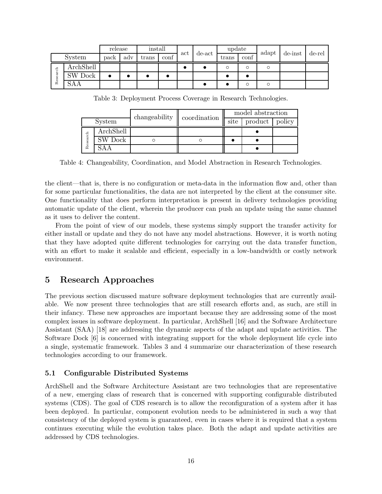|               |                | release |     | install |      | act |        | update |      | adapt |         |        |
|---------------|----------------|---------|-----|---------|------|-----|--------|--------|------|-------|---------|--------|
| System        |                | pack    | adv | trans   | conf |     | de-act | trans  | conf |       | de-inst | de-rel |
| -පි<br>Resear | ArchShell      |         |     |         |      |     |        | Ω      | Ω    | O     |         |        |
|               | <b>SW Dock</b> |         |     |         |      |     |        |        |      |       |         |        |
|               | SAA            |         |     |         |      |     |        |        | O    | Ω     |         |        |

Table 3: Deployment Process Coverage in Research Technologies.

| System   |           | changeability | coordination | model abstraction |         |        |  |
|----------|-----------|---------------|--------------|-------------------|---------|--------|--|
|          |           |               |              | site              | product | policy |  |
|          | ArchShell |               |              |                   |         |        |  |
| Research | SW Dock   |               |              |                   |         |        |  |
|          |           |               |              |                   |         |        |  |

Table 4: Changeability, Coordination, and Model Abstraction in Research Technologies.

the client—that is, there is no configuration or meta-data in the information flow and, other than for some particular functionalities, the data are not interpreted by the client at the consumer site. One functionality that does perform interpretation is present in delivery technologies providing automatic update of the client, wherein the producer can push an update using the same channel as it uses to deliver the content.

From the point of view of our models, these systems simply support the transfer activity for either install or update and they do not have any model abstractions. However, it is worth noting that they have adopted quite different technologies for carrying out the data transfer function, with an effort to make it scalable and efficient, especially in a low-bandwidth or costly network environment.

# **5 Research Approaches**

The previous section discussed mature software deployment technologies that are currently available. We now present three technologies that are still research efforts and, as such, are still in their infancy. These new approaches are important because they are addressing some of the most complex issues in software deployment. In particular, ArchShell [16] and the Software Architecture Assistant (SAA) [18] are addressing the dynamic aspects of the adapt and update activities. The Software Dock [6] is concerned with integrating support for the whole deployment life cycle into a single, systematic framework. Tables 3 and 4 summarize our characterization of these research technologies according to our framework.

# **5.1 Configurable Distributed Systems**

ArchShell and the Software Architecture Assistant are two technologies that are representative of a new, emerging class of research that is concerned with supporting configurable distributed systems (CDS). The goal of CDS research is to allow the reconfiguration of a system after it has been deployed. In particular, component evolution needs to be administered in such a way that consistency of the deployed system is guaranteed, even in cases where it is required that a system continues executing while the evolution takes place. Both the adapt and update activities are addressed by CDS technologies.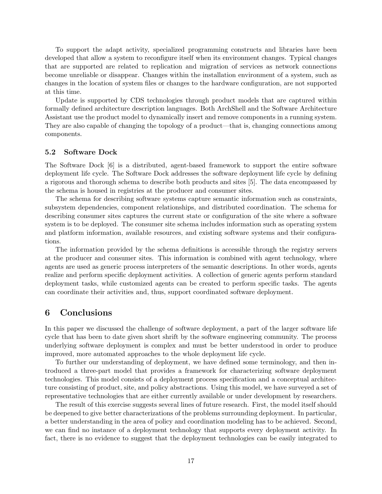To support the adapt activity, specialized programming constructs and libraries have been developed that allow a system to reconfigure itself when its environment changes. Typical changes that are supported are related to replication and migration of services as network connections become unreliable or disappear. Changes within the installation environment of a system, such as changes in the location of system files or changes to the hardware configuration, are not supported at this time.

Update is supported by CDS technologies through product models that are captured within formally defined architecture description languages. Both ArchShell and the Software Architecture Assistant use the product model to dynamically insert and remove components in a running system. They are also capable of changing the topology of a product—that is, changing connections among components.

#### **5.2 Software Dock**

The Software Dock [6] is a distributed, agent-based framework to support the entire software deployment life cycle. The Software Dock addresses the software deployment life cycle by defining a rigorous and thorough schema to describe both products and sites [5]. The data encompassed by the schema is housed in registries at the producer and consumer sites.

The schema for describing software systems capture semantic information such as constraints, subsystem dependencies, component relationships, and distributed coordination. The schema for describing consumer sites captures the current state or configuration of the site where a software system is to be deployed. The consumer site schema includes information such as operating system and platform information, available resources, and existing software systems and their configurations.

The information provided by the schema definitions is accessible through the registry servers at the producer and consumer sites. This information is combined with agent technology, where agents are used as generic process interpreters of the semantic descriptions. In other words, agents realize and perform specific deployment activities. A collection of generic agents perform standard deployment tasks, while customized agents can be created to perform specific tasks. The agents can coordinate their activities and, thus, support coordinated software deployment.

# **6 Conclusions**

In this paper we discussed the challenge of software deployment, a part of the larger software life cycle that has been to date given short shrift by the software engineering community. The process underlying software deployment is complex and must be better understood in order to produce improved, more automated approaches to the whole deployment life cycle.

To further our understanding of deployment, we have defined some terminology, and then introduced a three-part model that provides a framework for characterizing software deployment technologies. This model consists of a deployment process specification and a conceptual architecture consisting of product, site, and policy abstractions. Using this model, we have surveyed a set of representative technologies that are either currently available or under development by researchers.

The result of this exercise suggests several lines of future research. First, the model itself should be deepened to give better characterizations of the problems surrounding deployment. In particular, a better understanding in the area of policy and coordination modeling has to be achieved. Second, we can find no instance of a deployment technology that supports every deployment activity. In fact, there is no evidence to suggest that the deployment technologies can be easily integrated to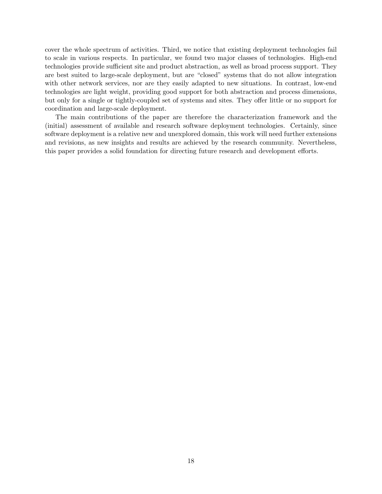cover the whole spectrum of activities. Third, we notice that existing deployment technologies fail to scale in various respects. In particular, we found two major classes of technologies. High-end technologies provide sufficient site and product abstraction, as well as broad process support. They are best suited to large-scale deployment, but are "closed" systems that do not allow integration with other network services, nor are they easily adapted to new situations. In contrast, low-end technologies are light weight, providing good support for both abstraction and process dimensions, but only for a single or tightly-coupled set of systems and sites. They offer little or no support for coordination and large-scale deployment.

The main contributions of the paper are therefore the characterization framework and the (initial) assessment of available and research software deployment technologies. Certainly, since software deployment is a relative new and unexplored domain, this work will need further extensions and revisions, as new insights and results are achieved by the research community. Nevertheless, this paper provides a solid foundation for directing future research and development efforts.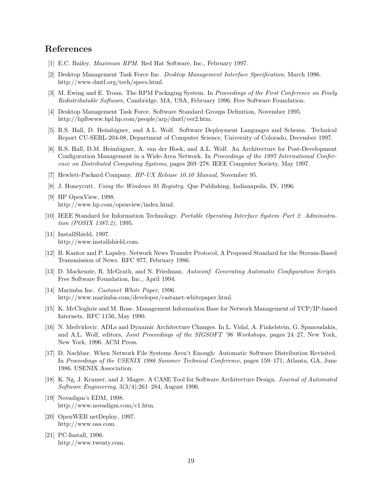# **References**

- [1] E.C. Bailey. Maximum RPM. Red Hat Software, Inc., February 1997.
- [2] Desktop Management Task Force Inc. Desktop Management Interface Specification, March 1996. http://www.dmtf.org/tech/specs.html.
- [3] M. Ewing and E. Troan. The RPM Packaging System. In Proceedings of the First Conference on Freely Redistributable Software, Cambridge, MA, USA, February 1996. Free Software Foundation.
- [4] Desktop Management Task Force. Software Standard Groups Definition, November 1995. http://hplbwww.hpl.hp.com/people/arp/dmtf/ver2.htm.
- [5] R.S. Hall, D. Heimbigner, and A.L. Wolf. Software Deployment Languages and Schema. Technical Report CU-SERL-204-08, Department of Computer Science, University of Colorado, December 1997.
- [6] R.S. Hall, D.M. Heimbigner, A. van der Hoek, and A.L. Wolf. An Architecture for Post-Development Configuration Management in a Wide-Area Network. In Proceedings of the 1997 International Conference on Distributed Computing Systems, pages 269–278. IEEE Computer Society, May 1997.
- [7] Hewlett-Packard Company. HP-UX Release 10.10 Manual, November 95.
- [8] J. Honeycutt. Using the Windows 95 Registry. Que Publishing, Indianapolis, IN, 1996.
- [9] HP OpenView, 1998. http://www.hp.com/openview/index.html.
- [10] IEEE Standard for Information Technology. Portable Operating Interface System–Part 2: Administration (POSIX 1387.2), 1995.
- [11] InstallShield, 1997. http://www.installshield.com.
- [12] B. Kantor and P. Lapsley. Network News Transfer Protocol, A Proposed Standard for the Stream-Based Transmission of News. RFC 977, February 1986.
- [13] D. Mackenzie, R. McGrath, and N. Friedman. Autoconf: Generating Automatic Configuration Scripts. Free Software Foundation, Inc., April 1994.
- [14] Marimba Inc. Castanet White Paper, 1996. http://www.marimba.com/developer/castanet-whitepaper.html.
- [15] K. McCloghrie and M. Rose. Management Information Base for Network Management of TCP/IP-based Internets. RFC 1156, May 1990.
- [16] N. Medvidovic. ADLs and Dynamic Architecture Changes. In L. Vidal, A. Finkelstein, G. Spanoudakis, and A.L. Wolf, editors, *Joint Proceedings of the SIGSOFT '96 Workshops*, pages 24–27, New York, New York, 1996. ACM Press.
- [17] D. Nachbar. When Network File Systems Aren't Enough: Automatic Software Distribution Revisited. In Proceedings of the USENIX 1986 Summer Technical Conference, pages 159–171, Atlanta, GA, June 1986. USENIX Association.
- [18] K. Ng, J. Kramer, and J. Magee. A CASE Tool for Software Architecture Design. Journal of Automated Software Engineering, 3(3/4):261–284, August 1996.
- [19] Novadigm's EDM, 1998. http://www.novadigm.com/c1.htm.
- [20] OpenWEB netDeploy, 1997. http://www.osa.com.
- [21] PC-Install, 1996. http://www.twenty.com.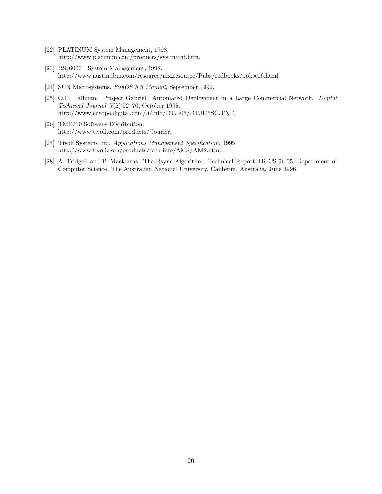- [22] PLATINUM System Management, 1998. http://www.platinum.com/products/sys mgmt.htm.
- [23] RS/6000 System Management, 1998. http://www.austin.ibm.com/resource/aix resource/Pubs/redbooks/ooksc16.html.
- [24] SUN Microsystems. SunOS 5.5 Manual, September 1992.
- [25] O.H. Tallman. Project Gabriel: Automated Deployment in a Large Commercial Network. Digital Technical Journal, 7(2):52–70, October 1995. http://www.europe.digital.com/.i/info/DTJI05/DTJI05SC.TXT.
- [26] TME/10 Software Distribution. http://www.tivoli.com/products/Courier.
- [27] Tivoli Systems Inc. Applications Management Specification, 1995. http://www.tivoli.com/products/tech info/AMS/AMS.html.
- [28] A. Tridgell and P. Mackerras. The Rsync Algorithm. Technical Report TR-CS-96-05, Department of Computer Science, The Australian National University, Canberra, Australia, June 1996.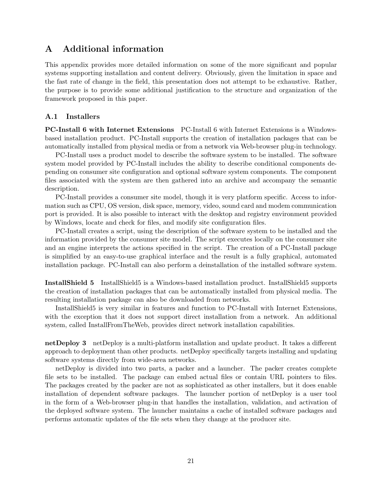# **A Additional information**

This appendix provides more detailed information on some of the more significant and popular systems supporting installation and content delivery. Obviously, given the limitation in space and the fast rate of change in the field, this presentation does not attempt to be exhaustive. Rather, the purpose is to provide some additional justification to the structure and organization of the framework proposed in this paper.

### **A.1 Installers**

**PC-Install 6 with Internet Extensions** PC-Install 6 with Internet Extensions is a Windowsbased installation product. PC-Install supports the creation of installation packages that can be automatically installed from physical media or from a network via Web-browser plug-in technology.

PC-Install uses a product model to describe the software system to be installed. The software system model provided by PC-Install includes the ability to describe conditional components depending on consumer site configuration and optional software system components. The component files associated with the system are then gathered into an archive and accompany the semantic description.

PC-Install provides a consumer site model, though it is very platform specific. Access to information such as CPU, OS version, disk space, memory, video, sound card and modem communication port is provided. It is also possible to interact with the desktop and registry environment provided by Windows, locate and check for files, and modify site configuration files.

PC-Install creates a script, using the description of the software system to be installed and the information provided by the consumer site model. The script executes locally on the consumer site and an engine interprets the actions specified in the script. The creation of a PC-Install package is simplified by an easy-to-use graphical interface and the result is a fully graphical, automated installation package. PC-Install can also perform a deinstallation of the installed software system.

**InstallShield 5** InstallShield5 is a Windows-based installation product. InstallShield5 supports the creation of installation packages that can be automatically installed from physical media. The resulting installation package can also be downloaded from networks.

InstallShield5 is very similar in features and function to PC-Install with Internet Extensions, with the exception that it does not support direct installation from a network. An additional system, called InstallFromTheWeb, provides direct network installation capabilities.

**netDeploy 3** netDeploy is a multi-platform installation and update product. It takes a different approach to deployment than other products. netDeploy specifically targets installing and updating software systems directly from wide-area networks.

netDeploy is divided into two parts, a packer and a launcher. The packer creates complete file sets to be installed. The package can embed actual files or contain URL pointers to files. The packages created by the packer are not as sophisticated as other installers, but it does enable installation of dependent software packages. The launcher portion of netDeploy is a user tool in the form of a Web-browser plug-in that handles the installation, validation, and activation of the deployed software system. The launcher maintains a cache of installed software packages and performs automatic updates of the file sets when they change at the producer site.